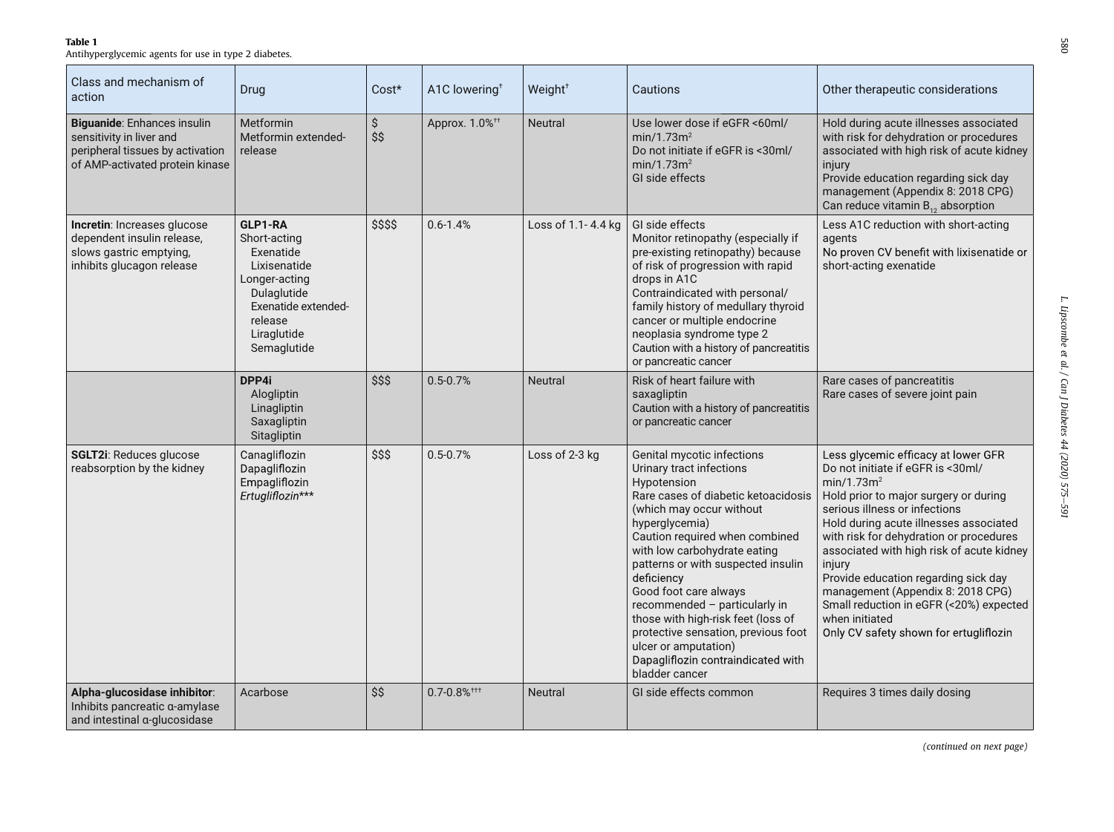Table 1

Antihyperglycemic agents for use in type 2 diabetes.

| Class and mechanism of<br>action                                                                                               | Drug                                                                                                                                                 | Cost*     | A1C lowering <sup>+</sup>                 | Weight <sup>+</sup> | Cautions                                                                                                                                                                                                                                                                                                                                                                                                                                                                                                | Other therapeutic considerations                                                                                                                                                                                                                                                                                                                                                                                                                                                                             |
|--------------------------------------------------------------------------------------------------------------------------------|------------------------------------------------------------------------------------------------------------------------------------------------------|-----------|-------------------------------------------|---------------------|---------------------------------------------------------------------------------------------------------------------------------------------------------------------------------------------------------------------------------------------------------------------------------------------------------------------------------------------------------------------------------------------------------------------------------------------------------------------------------------------------------|--------------------------------------------------------------------------------------------------------------------------------------------------------------------------------------------------------------------------------------------------------------------------------------------------------------------------------------------------------------------------------------------------------------------------------------------------------------------------------------------------------------|
| Biguanide: Enhances insulin<br>sensitivity in liver and<br>peripheral tissues by activation<br>of AMP-activated protein kinase | <b>Metformin</b><br>Metformin extended-<br>release                                                                                                   | \$<br>\$S | Approx. 1.0% <sup>++</sup>                | <b>Neutral</b>      | Use lower dose if eGFR <60ml/<br>min/1.73m <sup>2</sup><br>Do not initiate if eGFR is <30ml/<br>min/1.73m <sup>2</sup><br>GI side effects                                                                                                                                                                                                                                                                                                                                                               | Hold during acute illnesses associated<br>with risk for dehydration or procedures<br>associated with high risk of acute kidney<br>injury<br>Provide education regarding sick day<br>management (Appendix 8: 2018 CPG)<br>Can reduce vitamin $B_{12}$ absorption                                                                                                                                                                                                                                              |
| Incretin: Increases glucose<br>dependent insulin release,<br>slows gastric emptying,<br>inhibits glucagon release              | GLP1-RA<br>Short-acting<br>Exenatide<br>Lixisenatide<br>Longer-acting<br>Dulaglutide<br>Exenatide extended-<br>release<br>Liraglutide<br>Semaglutide | \$\$\$\$  | $0.6 - 1.4%$                              | Loss of 1.1-4.4 kg  | GI side effects<br>Monitor retinopathy (especially if<br>pre-existing retinopathy) because<br>of risk of progression with rapid<br>drops in A1C<br>Contraindicated with personal/<br>family history of medullary thyroid<br>cancer or multiple endocrine<br>neoplasia syndrome type 2<br>Caution with a history of pancreatitis<br>or pancreatic cancer                                                                                                                                                 | Less A1C reduction with short-acting<br>agents<br>No proven CV benefit with lixisenatide or<br>short-acting exenatide                                                                                                                                                                                                                                                                                                                                                                                        |
|                                                                                                                                | DPP4i<br>Alogliptin<br>Linagliptin<br>Saxagliptin<br>Sitagliptin                                                                                     | \$\$\$    | $0.5 - 0.7%$                              | <b>Neutral</b>      | Risk of heart failure with<br>saxagliptin<br>Caution with a history of pancreatitis<br>or pancreatic cancer                                                                                                                                                                                                                                                                                                                                                                                             | Rare cases of pancreatitis<br>Rare cases of severe joint pain                                                                                                                                                                                                                                                                                                                                                                                                                                                |
| SGLT2i: Reduces glucose<br>reabsorption by the kidney                                                                          | Canagliflozin<br>Dapagliflozin<br>Empagliflozin<br>Ertugliflozin***                                                                                  | \$\$\$    | $0.5 - 0.7%$                              | Loss of 2-3 kg      | Genital mycotic infections<br>Urinary tract infections<br>Hypotension<br>Rare cases of diabetic ketoacidosis<br>(which may occur without<br>hyperglycemia)<br>Caution required when combined<br>with low carbohydrate eating<br>patterns or with suspected insulin<br>deficiency<br>Good foot care always<br>recommended - particularly in<br>those with high-risk feet (loss of<br>protective sensation, previous foot<br>ulcer or amputation)<br>Dapagliflozin contraindicated with<br>bladder cancer | Less glycemic efficacy at lower GFR<br>Do not initiate if eGFR is <30ml/<br>min/1.73m <sup>2</sup><br>Hold prior to major surgery or during<br>serious illness or infections<br>Hold during acute illnesses associated<br>with risk for dehydration or procedures<br>associated with high risk of acute kidney<br>injury<br>Provide education regarding sick day<br>management (Appendix 8: 2018 CPG)<br>Small reduction in eGFR (<20%) expected<br>when initiated<br>Only CV safety shown for ertugliflozin |
| Alpha-glucosidase inhibitor:<br>Inhibits pancreatic a-amylase<br>and intestinal a-glucosidase                                  | Acarbose                                                                                                                                             | \$\$      | $0.7 - 0.8\%$ <sup><math>+ +</math></sup> | <b>Neutral</b>      | GI side effects common                                                                                                                                                                                                                                                                                                                                                                                                                                                                                  | Requires 3 times daily dosing                                                                                                                                                                                                                                                                                                                                                                                                                                                                                |

(continued on next page)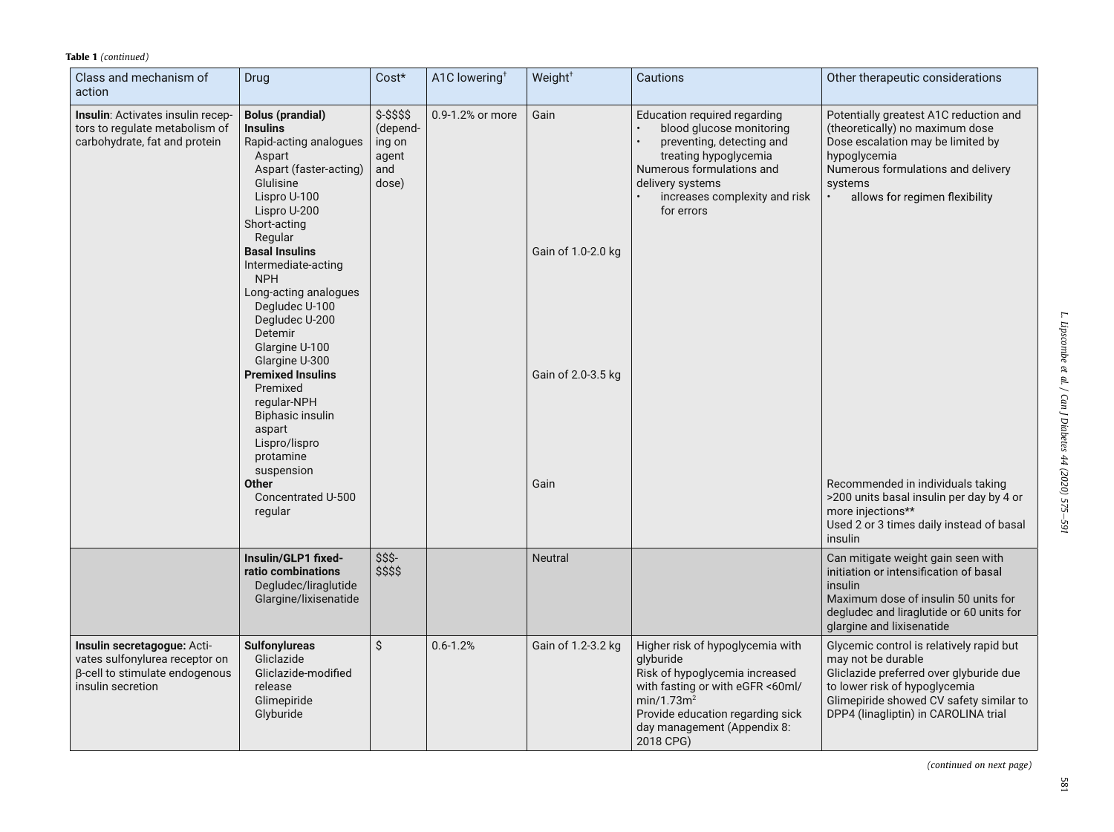| Class and mechanism of<br>action                                                                                     | Drug                                                                                                                                                                                                                                                                                                                                                                                                                                                                                        | Cost*                                                        | A1C lowering <sup>+</sup> | Weight <sup>+</sup>                              | Cautions                                                                                                                                                                                                                      | Other therapeutic considerations                                                                                                                                                                                              |
|----------------------------------------------------------------------------------------------------------------------|---------------------------------------------------------------------------------------------------------------------------------------------------------------------------------------------------------------------------------------------------------------------------------------------------------------------------------------------------------------------------------------------------------------------------------------------------------------------------------------------|--------------------------------------------------------------|---------------------------|--------------------------------------------------|-------------------------------------------------------------------------------------------------------------------------------------------------------------------------------------------------------------------------------|-------------------------------------------------------------------------------------------------------------------------------------------------------------------------------------------------------------------------------|
| Insulin: Activates insulin recep-<br>tors to regulate metabolism of<br>carbohydrate, fat and protein                 | <b>Bolus (prandial)</b><br><b>Insulins</b><br>Rapid-acting analogues<br>Aspart<br>Aspart (faster-acting)<br>Glulisine<br>Lispro U-100<br>Lispro U-200<br>Short-acting<br>Regular<br><b>Basal Insulins</b><br>Intermediate-acting<br><b>NPH</b><br>Long-acting analogues<br>Degludec U-100<br>Degludec U-200<br>Detemir<br>Glargine U-100<br>Glargine U-300<br><b>Premixed Insulins</b><br>Premixed<br>regular-NPH<br>Biphasic insulin<br>aspart<br>Lispro/lispro<br>protamine<br>suspension | $$-$ \$\$\$\$<br>(depend-<br>ing on<br>agent<br>and<br>dose) | 0.9-1.2% or more          | Gain<br>Gain of 1.0-2.0 kg<br>Gain of 2.0-3.5 kg | Education required regarding<br>blood glucose monitoring<br>preventing, detecting and<br>treating hypoglycemia<br>Numerous formulations and<br>delivery systems<br>increases complexity and risk<br>for errors                | Potentially greatest A1C reduction and<br>(theoretically) no maximum dose<br>Dose escalation may be limited by<br>hypoglycemia<br>Numerous formulations and delivery<br>systems<br>allows for regimen flexibility             |
|                                                                                                                      | <b>Other</b><br>Concentrated U-500<br>regular                                                                                                                                                                                                                                                                                                                                                                                                                                               |                                                              |                           | Gain                                             |                                                                                                                                                                                                                               | Recommended in individuals taking<br>>200 units basal insulin per day by 4 or<br>more injections**<br>Used 2 or 3 times daily instead of basal<br>insulin                                                                     |
|                                                                                                                      | Insulin/GLP1 fixed-<br>ratio combinations<br>Degludec/liraglutide<br>Glargine/lixisenatide                                                                                                                                                                                                                                                                                                                                                                                                  | \$\$\$-<br>\$\$\$\$                                          |                           | <b>Neutral</b>                                   |                                                                                                                                                                                                                               | Can mitigate weight gain seen with<br>initiation or intensification of basal<br>insulin<br>Maximum dose of insulin 50 units for<br>degludec and liraglutide or 60 units for<br>glargine and lixisenatide                      |
| Insulin secretagogue: Acti-<br>vates sulfonylurea receptor on<br>β-cell to stimulate endogenous<br>insulin secretion | <b>Sulfonylureas</b><br>Gliclazide<br>Gliclazide-modified<br>release<br>Glimepiride<br>Glyburide                                                                                                                                                                                                                                                                                                                                                                                            | \$                                                           | $0.6 - 1.2%$              | Gain of 1.2-3.2 kg                               | Higher risk of hypoglycemia with<br>glyburide<br>Risk of hypoglycemia increased<br>with fasting or with eGFR <60ml/<br>min/1.73m <sup>2</sup><br>Provide education regarding sick<br>day management (Appendix 8:<br>2018 CPG) | Glycemic control is relatively rapid but<br>may not be durable<br>Gliclazide preferred over glyburide due<br>to lower risk of hypoglycemia<br>Glimepiride showed CV safety similar to<br>DPP4 (linagliptin) in CAROLINA trial |

(continued on next page)